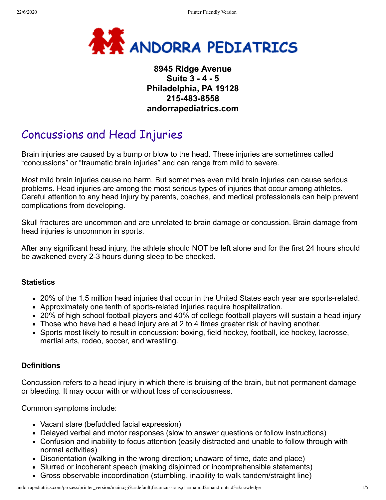

# **8945 Ridge Avenue Suite 3 - 4 - 5 Philadelphia, PA 19128 215-483-8558 andorrapediatrics.com**

# Concussions and Head Injuries

Brain injuries are caused by a bump or blow to the head. These injuries are sometimes called "concussions" or "traumatic brain injuries" and can range from mild to severe.

Most mild brain injuries cause no harm. But sometimes even mild brain injuries can cause serious problems. Head injuries are among the most serious types of injuries that occur among athletes. Careful attention to any head injury by parents, coaches, and medical professionals can help prevent complications from developing.

Skull fractures are uncommon and are unrelated to brain damage or concussion. Brain damage from head injuries is uncommon in sports.

After any significant head injury, the athlete should NOT be left alone and for the first 24 hours should be awakened every 2-3 hours during sleep to be checked.

## **Statistics**

- 20% of the 1.5 million head injuries that occur in the United States each year are sports-related.
- Approximately one tenth of sports-related injuries require hospitalization.
- 20% of high school football players and 40% of college football players will sustain a head injury
- Those who have had a head injury are at 2 to 4 times greater risk of having another.
- Sports most likely to result in concussion: boxing, field hockey, football, ice hockey, lacrosse, martial arts, rodeo, soccer, and wrestling.

## **Definitions**

Concussion refers to a head injury in which there is bruising of the brain, but not permanent damage or bleeding. It may occur with or without loss of consciousness.

Common symptoms include:

- Vacant stare (befuddled facial expression)
- Delayed verbal and motor responses (slow to answer questions or follow instructions)
- Confusion and inability to focus attention (easily distracted and unable to follow through with normal activities)
- Disorientation (walking in the wrong direction; unaware of time, date and place)
- Slurred or incoherent speech (making disjointed or incomprehensible statements)
- Gross observable incoordination (stumbling, inability to walk tandem/straight line)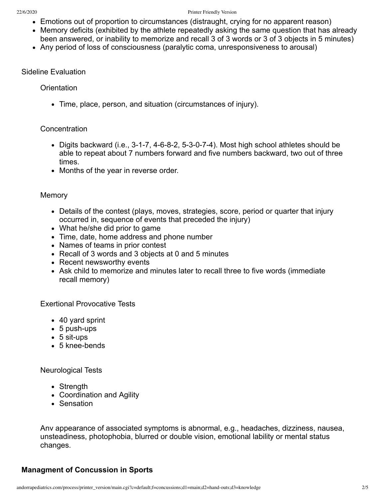- Emotions out of proportion to circumstances (distraught, crying for no apparent reason)
- Memory deficits (exhibited by the athlete repeatedly asking the same question that has already been answered, or inability to memorize and recall 3 of 3 words or 3 of 3 objects in 5 minutes)
- Any period of loss of consciousness (paralytic coma, unresponsiveness to arousal)

#### Sideline Evaluation

#### **Orientation**

Time, place, person, and situation (circumstances of injury).

#### **Concentration**

- Digits backward (i.e., 3-1-7, 4-6-8-2, 5-3-0-7-4). Most high school athletes should be able to repeat about 7 numbers forward and five numbers backward, two out of three times.
- Months of the year in reverse order.

#### **Memory**

- Details of the contest (plays, moves, strategies, score, period or quarter that injury occurred in, sequence of events that preceded the injury)
- What he/she did prior to game
- Time, date, home address and phone number
- Names of teams in prior contest
- Recall of 3 words and 3 objects at 0 and 5 minutes
- Recent newsworthy events
- Ask child to memorize and minutes later to recall three to five words (immediate recall memory)

Exertional Provocative Tests

- 40 yard sprint
- 5 push-ups
- 5 sit-ups
- 5 knee-bends

#### Neurological Tests

- Strength
- Coordination and Agility
- Sensation

Anv appearance of associated symptoms is abnormal, e.g., headaches, dizziness, nausea, unsteadiness, photophobia, blurred or double vision, emotional lability or mental status changes.

## **Managment of Concussion in Sports**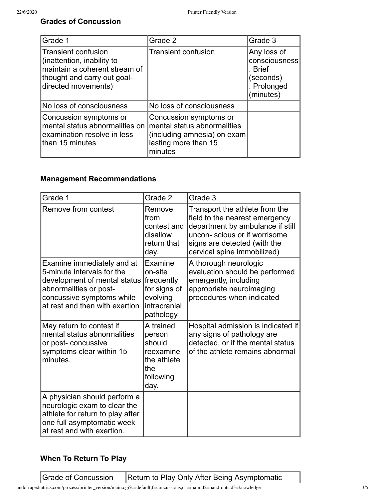# **Grades of Concussion**

| Grade 1                                                                                                                                  | Grade 2                                                                                                                 | Grade 3                                                                          |
|------------------------------------------------------------------------------------------------------------------------------------------|-------------------------------------------------------------------------------------------------------------------------|----------------------------------------------------------------------------------|
| Transient confusion<br>(inattention, inability to<br>maintain a coherent stream of<br>thought and carry out goal-<br>directed movements) | <b>Transient confusion</b>                                                                                              | Any loss of<br>consciousness<br>. Brief<br>(seconds)<br>. Prolonged<br>(minutes) |
| No loss of consciousness                                                                                                                 | No loss of consciousness                                                                                                |                                                                                  |
| Concussion symptoms or<br>mental status abnormalities on<br>examination resolve in less<br>than 15 minutes                               | Concussion symptoms or<br>mental status abnormalities<br>(including amnesia) on exam<br>lasting more than 15<br>minutes |                                                                                  |

# **Management Recommendations**

| Grade 1                                                                                                                                                                           | Grade 2                                                                                   | Grade 3                                                                                                                                                                                             |
|-----------------------------------------------------------------------------------------------------------------------------------------------------------------------------------|-------------------------------------------------------------------------------------------|-----------------------------------------------------------------------------------------------------------------------------------------------------------------------------------------------------|
| Remove from contest                                                                                                                                                               | Remove<br>from<br>contest and<br>disallow<br>return that<br>day.                          | Transport the athlete from the<br>field to the nearest emergency<br>department by ambulance if still<br>uncon-scious or if worrisome<br>signs are detected (with the<br>cervical spine immobilized) |
| Examine immediately and at<br>5-minute intervals for the<br>development of mental status<br>abnormalities or post-<br>concussive symptoms while<br>at rest and then with exertion | Examine<br>on-site<br>frequently<br>for signs of<br>evolving<br>intracranial<br>pathology | A thorough neurologic<br>evaluation should be performed<br>emergently, including<br>appropriate neuroimaging<br>procedures when indicated                                                           |
| May return to contest if<br>mental status abnormalities<br>or post- concussive<br>symptoms clear within 15<br>minutes.                                                            | A trained<br>person<br>should<br>reexamine<br>the athlete<br>the<br>following<br>day.     | Hospital admission is indicated if<br>any signs of pathology are<br>detected, or if the mental status<br>of the athlete remains abnormal                                                            |
| A physician should perform a<br>neurologic exam to clear the<br>athlete for return to play after<br>one full asymptomatic week<br>at rest and with exertion.                      |                                                                                           |                                                                                                                                                                                                     |

## **When To Return To Play**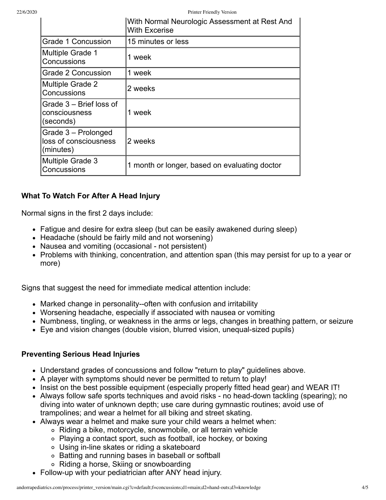22/6/2020 Printer Friendly Version

|                                                           | With Normal Neurologic Assessment at Rest And<br><b>With Excerise</b> |
|-----------------------------------------------------------|-----------------------------------------------------------------------|
| Grade 1 Concussion                                        | 15 minutes or less                                                    |
| <b>Multiple Grade 1</b><br>Concussions                    | 1 week                                                                |
| <b>Grade 2 Concussion</b>                                 | 1 week                                                                |
| <b>Multiple Grade 2</b><br>Concussions                    | 2 weeks                                                               |
| Grade 3 – Brief loss of<br>consciousness<br>(seconds)     | 1 week                                                                |
| Grade 3 - Prolonged<br>loss of consciousness<br>(minutes) | 2 weeks                                                               |
| Multiple Grade 3<br>Concussions                           | 1 month or longer, based on evaluating doctor                         |

## **What To Watch For After A Head Injury**

Normal signs in the first 2 days include:

- Fatigue and desire for extra sleep (but can be easily awakened during sleep)
- Headache (should be fairly mild and not worsening)
- Nausea and vomiting (occasional not persistent)
- Problems with thinking, concentration, and attention span (this may persist for up to a year or more)

Signs that suggest the need for immediate medical attention include:

- Marked change in personality--often with confusion and irritability
- Worsening headache, especially if associated with nausea or vomiting
- Numbness, tingling, or weakness in the arms or legs, changes in breathing pattern, or seizure
- Eye and vision changes (double vision, blurred vision, unequal-sized pupils)

## **Preventing Serious Head Injuries**

- Understand grades of concussions and follow "return to play" guidelines above.
- A player with symptoms should never be permitted to return to play!
- Insist on the best possible equipment (especially properly fitted head gear) and WEAR IT!
- Always follow safe sports techniques and avoid risks no head-down tackling (spearing); no diving into water of unknown depth; use care during gymnastic routines; avoid use of trampolines; and wear a helmet for all biking and street skating.
- Always wear a helmet and make sure your child wears a helmet when:
	- Riding a bike, motorcycle, snowmobile, or all terrain vehicle
	- Playing a contact sport, such as football, ice hockey, or boxing
	- Using in-line skates or riding a skateboard
	- Batting and running bases in baseball or softball
	- Riding a horse, Skiing or snowboarding
- Follow-up with your pediatrician after ANY head injury.